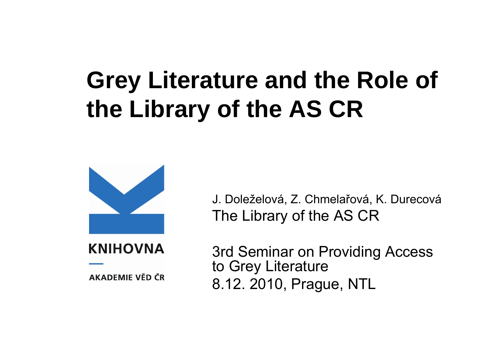## **Grey Literature and the Role of the Library of the AS CR**



**KNIHOVNA** 

AKADEMIE VĚD ČR

J. Doleželová, Z. Chmela řová, K. Durecová The Library of the AS CR

3rd Seminar on Providing Access to Grey Literature 8.12. 2010, Prague, NTL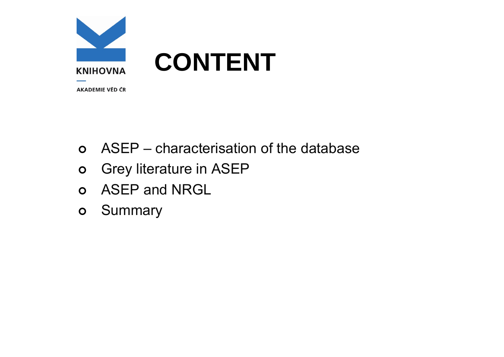

## **CONTENT**

**AKADEMIE VĚD ČR** 

- | ASEP characterisation of the database
- $\bullet$ Grey literature in ASEP
- **o** ASEP and NRGL
- $\bullet$ **Summary**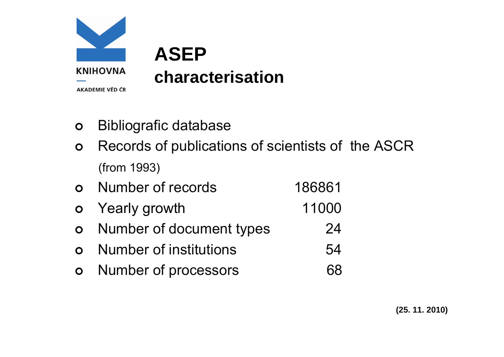

- $\Omega$ Bibliografic database
- $\Omega$  Records of publications of scientists of the ASCR (from 1993)
- $\Omega$ Number of records 186861
- $\circ$ Yearly growth 11000
- $\circ$ Number of document types 24
- $\Omega$ Number of institutions 64
- $\circ$ Number of processors 68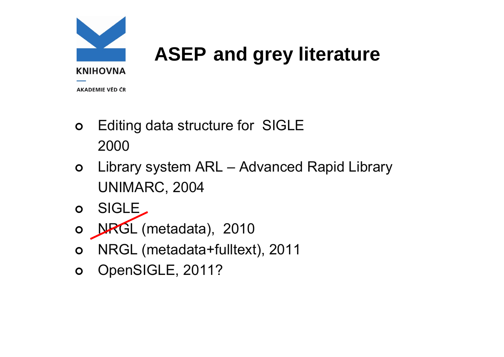

## **ASEP and grey literature**

**AKADEMIE VĚD ČR** 

- $\circ$  Editing data structure for SIGLE 2000
- $\circ$  Library system ARL – Advanced Rapid Library UNIMARC, 2004
- $\mathbf{O}$ SIGLE
- o **NRGL** (metadata), 2010
- $\circ$ NRGL (metadata+fulltext), 2011
- $\mathsf{O}$ OpenSIGLE, 2011?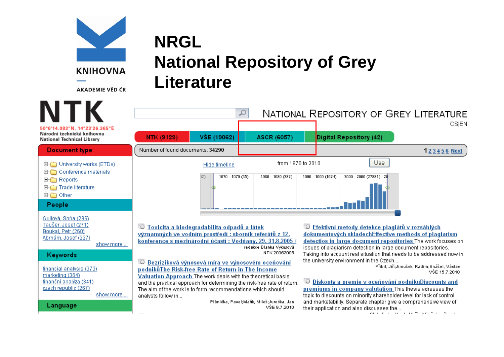

AKADEMIE VĚD ČR

show more ...

show more ...

Boukal, Petr (260)

Keywords

marketing (364)

Language

Abrhám, Josef (227)

financial analysis (373)

finanční analýza (341)

czech republic (267)

**NRGL National Repository of Grey Literature** 



Toxicita a biodegradabilita odpadů a látek významných ve vodním prostředí: sborník referátů z 12. konference s mezinárodní účastí: Vodňany, 29, 31,8,2005 redakce Blanka Vykusová NTK 20052005

**D** Bezriziková výnosová míra ve výnosovém oceňování podnikůThe Risk-free Rate of Return in The Income

Valuation Approach The work deals with the theoretical basis and the practical approach for determining the risk-free rate of return. The aim of the work is to form recommendations which should analysts follow in...

> Plánička, Pavel:Mařík, Miloš:Jurečka, Jan VŠE 9.7.2010

**DEfektivní metody detekce plagiátů v rozsáhlých** dokumentových skladechEffective methods of plagiarism detectios in large document repositories The work focuses on issues of plagiarism detection in large document repositories. Taking into account real situation that needs to be addressed now in the university environment in the Czech...

Přibil, Jiří;Jiroušek, Radim;Snášel, Václav VŠE 15.7.2010

**Diskonty a premie v oceňování podnikuDiscounts and** premiums in company valutation This thesis adresses the topic to discounts on minority shareholder level for lack of control and marketability. Separate chapter give a comprehensive view of their application and also discusses the...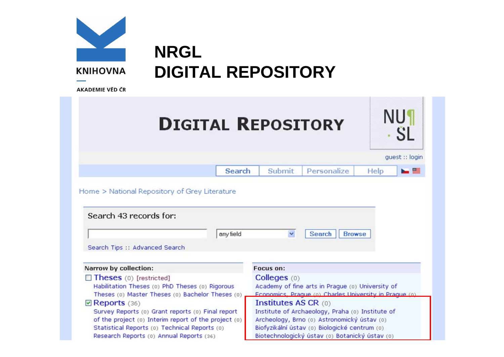| <b>KNIHOVNA</b><br><b>AKADEMIE VĚD ČR</b>                | <b>NRGL</b><br><b>DIGITAL REPOSITORY</b>                                                                                                                                                                                                                   |                                                                                                                                                                                                                                                                                        |                         |
|----------------------------------------------------------|------------------------------------------------------------------------------------------------------------------------------------------------------------------------------------------------------------------------------------------------------------|----------------------------------------------------------------------------------------------------------------------------------------------------------------------------------------------------------------------------------------------------------------------------------------|-------------------------|
|                                                          |                                                                                                                                                                                                                                                            | <b>DIGITAL REPOSITORY</b>                                                                                                                                                                                                                                                              | <b>NU1</b><br><b>SL</b> |
|                                                          |                                                                                                                                                                                                                                                            |                                                                                                                                                                                                                                                                                        | guest :: login          |
|                                                          | Search                                                                                                                                                                                                                                                     | Submit<br>Personalize                                                                                                                                                                                                                                                                  | b s<br>Help             |
| Search 43 records for:<br>Search Tips :: Advanced Search | any field                                                                                                                                                                                                                                                  | $\checkmark$<br><b>Browse</b><br><b>Search</b>                                                                                                                                                                                                                                         |                         |
| Narrow by collection:                                    |                                                                                                                                                                                                                                                            | <b>Focus on:</b>                                                                                                                                                                                                                                                                       |                         |
| Theses (0) [restricted]                                  | Habilitation Theses (0) PhD Theses (0) Rigorous                                                                                                                                                                                                            | Colleges(0)<br>Academy of fine arts in Prague (0) University of                                                                                                                                                                                                                        |                         |
| $\triangledown$ Reports (36)                             | Theses (0) Master Theses (0) Bachelor Theses (0)<br>Survey Reports (0) Grant reports (0) Final report<br>of the project (0) Interim report of the project (0)<br>Statistical Reports (0) Technical Reports (0)<br>Research Reports (0) Annual Reports (36) | Fonnomics, Prague (o) Charles University in Prague (o)<br>Institutes AS CR $(0)$<br>Institute of Archaeology, Praha (0) Institute of<br>Archeology, Brno (0) Astronomický ústav (0)<br>Biofyzikální ústav (o) Biologické centrum (o)<br>Biotechnologický ústav (0) Botanický ústav (0) |                         |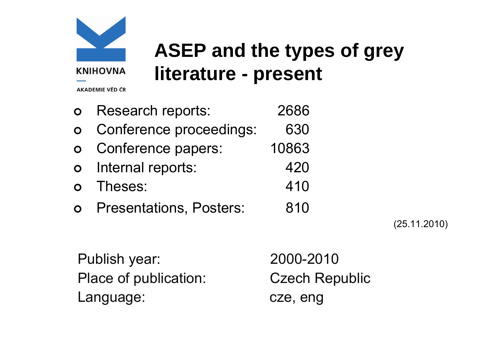

### **ASEP and the types of grey literature - present**

AKADEMIE VĚD ČR

| $\bullet$      | <b>Research reports:</b>         | 2686  |
|----------------|----------------------------------|-------|
|                | <b>o</b> Conference proceedings: | 630   |
|                | o Conference papers:             | 10863 |
| $\overline{O}$ | Internal reports:                | 420   |
|                | <b>o</b> Theses:                 | 410   |
|                | <b>o</b> Presentations, Posters: | 810   |
|                |                                  |       |

(25.11.2010)

Publish year: 2000-2010 Place of publication: Czech Republic Language: cze, eng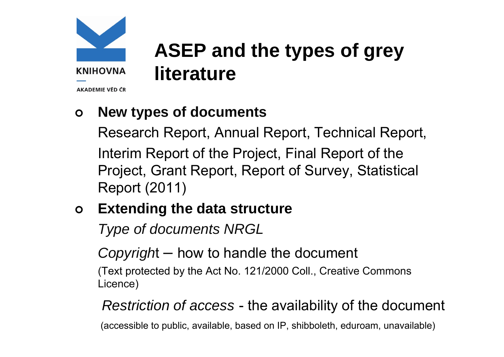

### **ASEP and the types of grey literature**

AKADEMIE VĚD ČR

#### $\mathbf{O}$ **New types of documents**

Research Report, Annual Report, Technical Report, Interim Report of the Project, Final Report of the Project, Grant Report, Report of Survey, Statistical Report (2011)

#### $\mathsf{O}$ **Extending the data structure**

*Type of documents NRGL*

*Copyrigh* t – how to handle the document

(Text protected by the Act No. 121/2000 Coll., Creative Commons Licence)

#### *Restriction of access*  -- the availability of the document

(accessible to public, available, based on IP, shibboleth, eduroam, unavailable)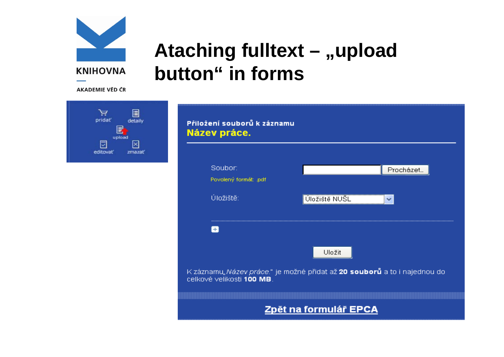

### Ataching fulltext - "upload button" in forms

**AKADEMIE VĚD ČR** 



Přiložení souborů k záznamu Název práce.



K záznamu"Název práce." je možné přidat až 20 souborů a to i najednou do celkové velikosti 100 MB.

### Zpět na formulář EPCA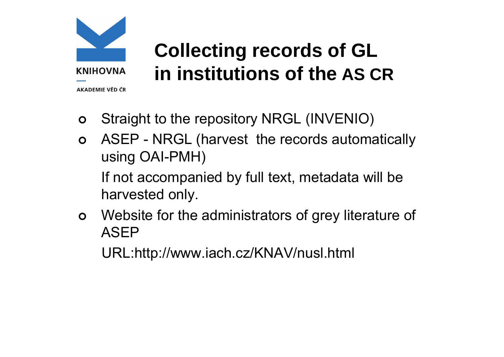

**Collecting records of GL in institutions of the AS CR**

- $\mathbf O$ Straight to the repository NRGL (INVENIO)
- $\bullet$  ASEP - NRGL (harvest the records automatically using OAI-PMH)

If not accompanied by full text, metadata will be harvested only.

 $\mathbf O$  Website for the administrators of grey literature of ASEP

URL:http://www.iach.cz/KNAV/nusl.html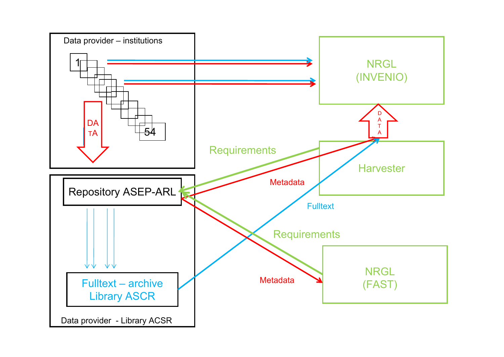